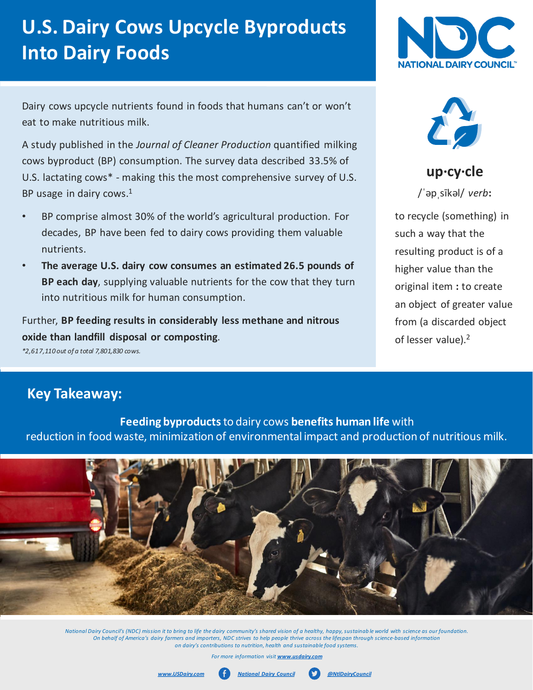# **U.S. Dairy Cows Upcycle Byproducts Into Dairy Foods**

Dairy cows upcycle nutrients found in foods that humans can't or won't eat to make nutritious milk.

A study published in the *Journal of Cleaner Production* quantified milking cows byproduct (BP) consumption. The survey data described 33.5% of U.S. lactating cows\* - making this the most comprehensive survey of U.S. BP usage in dairy cows.<sup>1</sup>

- BP comprise almost 30% of the world's agricultural production. For decades, BP have been fed to dairy cows providing them valuable nutrients.
- **The average U.S. dairy cow consumes an estimated 26.5 pounds of BP each day**, supplying valuable nutrients for the cow that they turn into nutritious milk for human consumption.

Further, **BP feeding results in considerably less methane and nitrous oxide than landfill disposal or composting**.

*\*2,617,110 out of a total 7,801,830 cows.*





**up·cy·cle**

/ˈəpˌsīkəl/ *verb***:** 

to recycle (something) in such a way that the resulting product is of a higher value than the original item **:** to create an object of greater value from (a discarded object of lesser value).<sup>2</sup>

### **Key Takeaway:**

**Feeding byproducts** to dairy cows **benefits human life** with reduction in food waste, minimization of environmental impact and production of nutritious milk.



*National Dairy Council's (NDC) mission it to bring to life the dairy community's shared vision of a healthy, happy, sustainab le world with science as our foundation. On behalf of America's dairy farmers and importers, NDC strives to help people thrive across the lifespan through science-based information on dairy's contributions to nutrition, health and sustainable food systems.* 

*For more information visit www.usdairy*